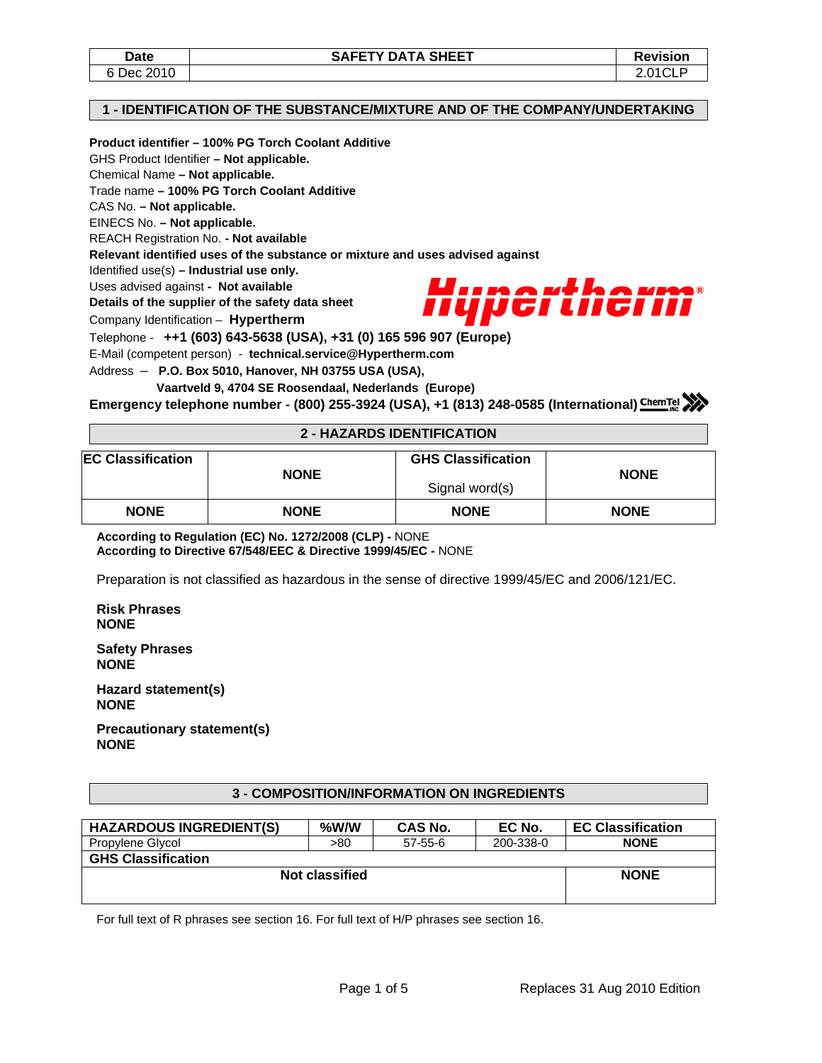### **1 - IDENTIFICATION OF THE SUBSTANCE/MIXTURE AND OF THE COMPANY/UNDERTAKING**

## **Product identifier – 100% PG Torch Coolant Additive**

GHS Product Identifier **– Not applicable.** 

Chemical Name **– Not applicable.** 

Trade name **– 100% PG Torch Coolant Additive** 

CAS No. **– Not applicable.** 

EINECS No. **– Not applicable.** 

REACH Registration No. **- Not available** 

**Relevant identified uses of the substance or mixture and uses advised against** 

Identified use(s) **– Industrial use only.** 

Uses advised against **- Not available** 

**Details of the supplier of the safety data sheet** 

Company Identification – **Hypertherm**



Telephone - **++1 (603) 643-5638 (USA), +31 (0) 165 596 907 (Europe)**

E-Mail (competent person) - **technical.service@Hypertherm.com** 

Address – **P.O. Box 5010, Hanover, NH 03755 USA (USA),** 

 **Vaartveld 9, 4704 SE Roosendaal, Nederlands (Europe)**

**Emergency telephone number - (800) 255-3924 (USA), +1 (813) 248-0585 (International)** *ChemTel* 

## **2 - HAZARDS IDENTIFICATION**

| <b>EC Classification</b> | <b>GHS Classification</b> |                |             |
|--------------------------|---------------------------|----------------|-------------|
|                          | <b>NONE</b>               | Signal word(s) | <b>NONE</b> |
| <b>NONE</b>              | <b>NONE</b>               | <b>NONE</b>    | <b>NONE</b> |

**According to Regulation (EC) No. 1272/2008 (CLP) -** NONE **According to Directive 67/548/EEC & Directive 1999/45/EC -** NONE

Preparation is not classified as hazardous in the sense of directive 1999/45/EC and 2006/121/EC.

**Risk Phrases NONE** 

**Safety Phrases NONE** 

**Hazard statement(s) NONE** 

**Precautionary statement(s) NONE** 

# **3 - COMPOSITION/INFORMATION ON INGREDIENTS**

| <b>HAZARDOUS INGREDIENT(S)</b> | $%$ W/W     | CAS No. | EC No.    | <b>EC Classification</b> |  |  |  |
|--------------------------------|-------------|---------|-----------|--------------------------|--|--|--|
| Propylene Glycol               | >80         | 57-55-6 | 200-338-0 | <b>NONE</b>              |  |  |  |
| <b>GHS Classification</b>      |             |         |           |                          |  |  |  |
| Not classified                 | <b>NONE</b> |         |           |                          |  |  |  |
|                                |             |         |           |                          |  |  |  |
|                                |             |         |           |                          |  |  |  |

For full text of R phrases see section 16. For full text of H/P phrases see section 16.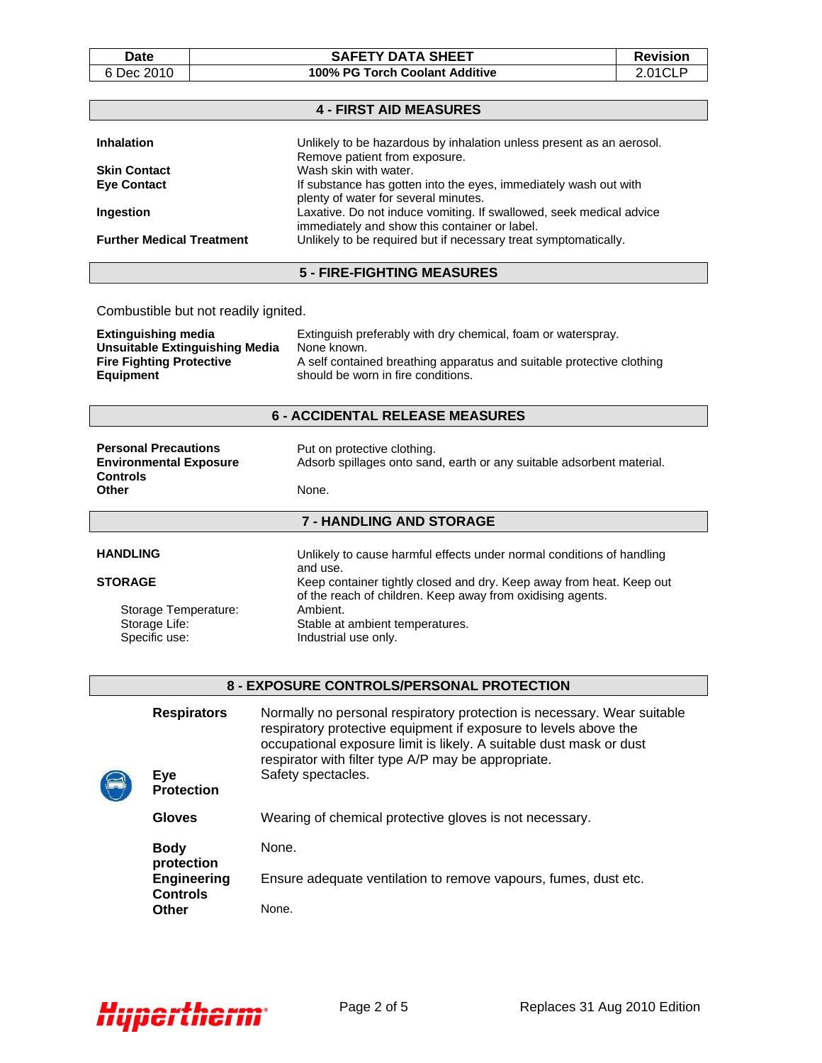|    | υаτе     |  |  |
|----|----------|--|--|
| ×. | ח100 מבו |  |  |

**Equipment** 

### **DATA SHEET Revision** 6 Dec 2010 **100% PG Torch Coolant Additive** 2.01CLP

|                                                                     | <b>4 - FIRST AID MEASURES</b>                                                                                        |
|---------------------------------------------------------------------|----------------------------------------------------------------------------------------------------------------------|
| <b>Inhalation</b>                                                   | Unlikely to be hazardous by inhalation unless present as an aerosol.<br>Remove patient from exposure.                |
| <b>Skin Contact</b>                                                 | Wash skin with water.                                                                                                |
| <b>Eye Contact</b>                                                  | If substance has gotten into the eyes, immediately wash out with<br>plenty of water for several minutes.             |
| Ingestion                                                           | Laxative. Do not induce vomiting. If swallowed, seek medical advice<br>immediately and show this container or label. |
| <b>Further Medical Treatment</b>                                    | Unlikely to be required but if necessary treat symptomatically.                                                      |
|                                                                     | <b>5 - FIRE-FIGHTING MEASURES</b>                                                                                    |
|                                                                     |                                                                                                                      |
| Combustible but not readily ignited.                                |                                                                                                                      |
| <b>Extinguishing media</b><br><b>Unsuitable Extinguishing Media</b> | Extinguish preferably with dry chemical, foam or waterspray.<br>None known.                                          |
| <b>Fire Fighting Protective</b>                                     |                                                                                                                      |

## **6 - ACCIDENTAL RELEASE MEASURES**

should be worn in fire conditions.

| <b>Personal Precautions</b><br><b>Environmental Exposure</b><br><b>Controls</b> | Put on protective clothing.<br>Adsorb spillages onto sand, earth or any suitable adsorbent material. |
|---------------------------------------------------------------------------------|------------------------------------------------------------------------------------------------------|
| Other                                                                           | None.                                                                                                |
|                                                                                 | <b>7 - HANDLING AND STORAGE</b>                                                                      |
|                                                                                 |                                                                                                      |

| <b>HANDLING</b>      | Unlikely to cause harmful effects under normal conditions of handling<br>and use.                                                  |
|----------------------|------------------------------------------------------------------------------------------------------------------------------------|
| <b>STORAGE</b>       | Keep container tightly closed and dry. Keep away from heat. Keep out<br>of the reach of children. Keep away from oxidising agents. |
| Storage Temperature: | Ambient.                                                                                                                           |
| Storage Life:        | Stable at ambient temperatures.                                                                                                    |
| Specific use:        | Industrial use only.                                                                                                               |

### **8 - EXPOSURE CONTROLS/PERSONAL PROTECTION**

| <b>Respirators</b><br>Eye<br><b>Protection</b> |                                                     | Normally no personal respiratory protection is necessary. Wear suitable<br>respiratory protective equipment if exposure to levels above the<br>occupational exposure limit is likely. A suitable dust mask or dust<br>respirator with filter type A/P may be appropriate.<br>Safety spectacles. |  |  |
|------------------------------------------------|-----------------------------------------------------|-------------------------------------------------------------------------------------------------------------------------------------------------------------------------------------------------------------------------------------------------------------------------------------------------|--|--|
|                                                | Gloves                                              | Wearing of chemical protective gloves is not necessary.                                                                                                                                                                                                                                         |  |  |
|                                                | <b>Body</b>                                         | None.                                                                                                                                                                                                                                                                                           |  |  |
|                                                | protection<br><b>Engineering</b><br><b>Controls</b> | Ensure adequate ventilation to remove vapours, fumes, dust etc.                                                                                                                                                                                                                                 |  |  |
|                                                | Other                                               | None.                                                                                                                                                                                                                                                                                           |  |  |

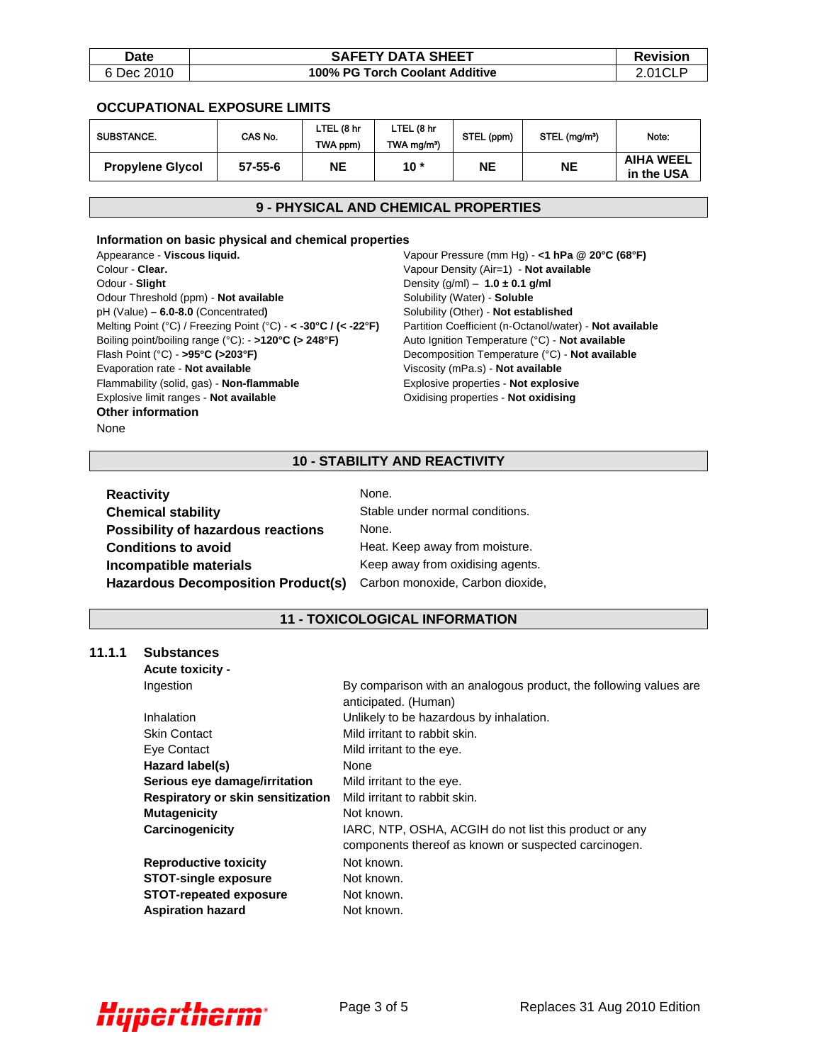| Date       | <b>SAFETY DATA SHEET</b>       | <b>Revision</b> |
|------------|--------------------------------|-----------------|
| 6 Dec 2010 | 100% PG Torch Coolant Additive | 2.01CL          |

### **OCCUPATIONAL EXPOSURE LIMITS**

| <b>SUBSTANCE.</b>       | CAS No.       | LTEL (8 hr<br>TWA ppm) | LTEL (8 hr<br>TWA mg/m <sup>3</sup> ) | STEL (ppm) | STEL (mg/m <sup>3</sup> ) | Note:                          |
|-------------------------|---------------|------------------------|---------------------------------------|------------|---------------------------|--------------------------------|
| <b>Propylene Glycol</b> | $57 - 55 - 6$ | NΕ                     | $10*$                                 | <b>NE</b>  | <b>NE</b>                 | <b>AIHA WEEL</b><br>in the USA |

# **9 - PHYSICAL AND CHEMICAL PROPERTIES**

#### **Information on basic physical and chemical properties**

Appearance - **Viscous liquid.** Colour - **Clear.** Odour - **Slight** Odour Threshold (ppm) - **Not available** pH (Value) **– 6.0-8.0** (Concentrated**)** Melting Point (°C) / Freezing Point (°C) - **< -30°C / (< -22°F)**  Boiling point/boiling range (°C): - **>120°C (> 248°F)**  Flash Point (°C) - **>95°C (>203°F)** Evaporation rate - **Not available** Flammability (solid, gas) - **Non-flammable** Explosive limit ranges - **Not available Other information**  None

Vapour Pressure (mm Hg) - **<1 hPa @ 20°C (68°F)** Vapour Density (Air=1) - **Not available** Density (g/ml) – **1.0 ± 0.1 g/ml** Solubility (Water) - **Soluble** Solubility (Other) - **Not established** Partition Coefficient (n-Octanol/water) - **Not available** Auto Ignition Temperature (°C) - **Not available**  Decomposition Temperature (°C) - **Not available** Viscosity (mPa.s) - **Not available** Explosive properties - **Not explosive** Oxidising properties - **Not oxidising**

# **10 - STABILITY AND REACTIVITY**

| <b>Reactivity</b>                         | None.                            |
|-------------------------------------------|----------------------------------|
| <b>Chemical stability</b>                 | Stable under normal conditions.  |
| <b>Possibility of hazardous reactions</b> | None.                            |
| <b>Conditions to avoid</b>                | Heat. Keep away from moisture.   |
| Incompatible materials                    | Keep away from oxidising agents. |
| <b>Hazardous Decomposition Product(s)</b> | Carbon monoxide, Carbon dioxide, |

## **11 - TOXICOLOGICAL INFORMATION**

#### **11.1.1 Substances**

| <b>Acute toxicity -</b>           |                                                                                                                |
|-----------------------------------|----------------------------------------------------------------------------------------------------------------|
| Ingestion                         | By comparison with an analogous product, the following values are<br>anticipated. (Human)                      |
| Inhalation                        | Unlikely to be hazardous by inhalation.                                                                        |
| <b>Skin Contact</b>               | Mild irritant to rabbit skin.                                                                                  |
| Eye Contact                       | Mild irritant to the eye.                                                                                      |
| Hazard label(s)                   | None                                                                                                           |
| Serious eye damage/irritation     | Mild irritant to the eye.                                                                                      |
| Respiratory or skin sensitization | Mild irritant to rabbit skin.                                                                                  |
| <b>Mutagenicity</b>               | Not known.                                                                                                     |
| Carcinogenicity                   | IARC, NTP, OSHA, ACGIH do not list this product or any<br>components thereof as known or suspected carcinogen. |
| <b>Reproductive toxicity</b>      | Not known.                                                                                                     |
| <b>STOT-single exposure</b>       | Not known.                                                                                                     |
| <b>STOT-repeated exposure</b>     | Not known.                                                                                                     |
| <b>Aspiration hazard</b>          | Not known.                                                                                                     |

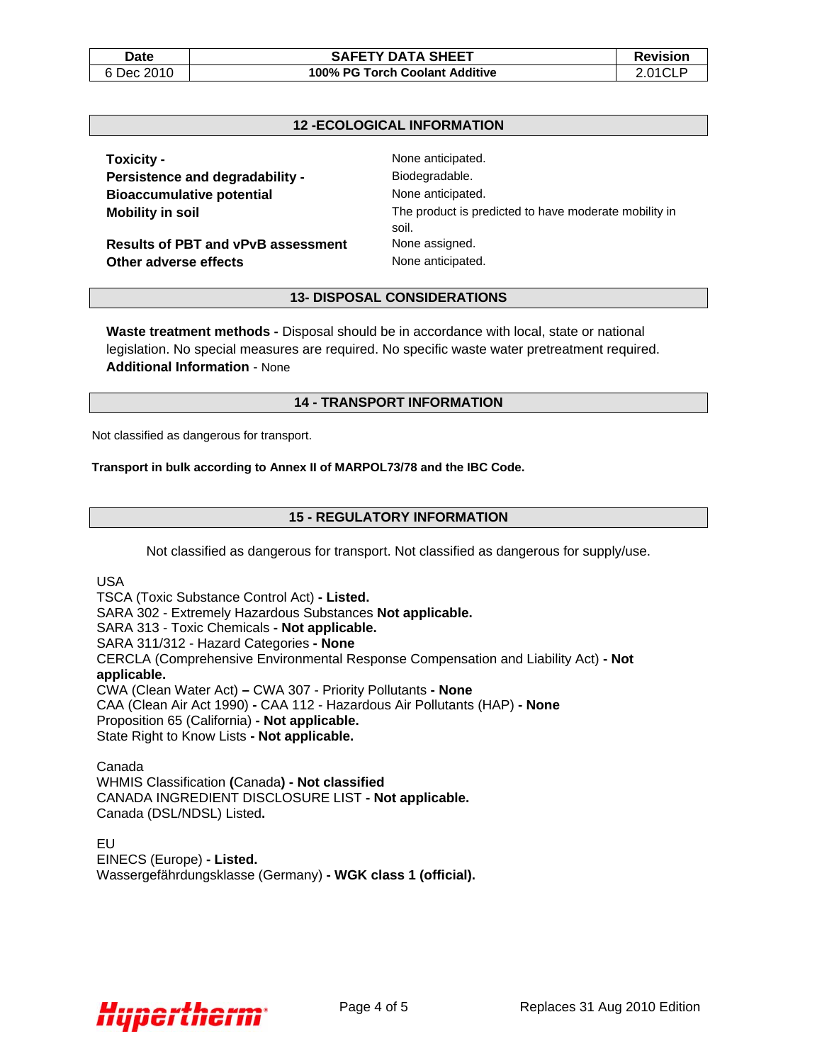#### Date | Revision **SAFETY DATA SHEET** | Revision 6 Dec 2010 **100% PG Torch Coolant Additive** 2.01CLP

## **12 -ECOLOGICAL INFORMATION**

**Toxicity -**  None anticipated. Persistence and degradability - **Biodegradable. Bioaccumulative potential Manual Example 2016** None anticipated.

**Results of PBT and vPvB assessment** None assigned. **Other adverse effects None anticipated.** 

**Mobility in soil Mobility in solution The product is predicted to have moderate mobility in** soil.

#### **13- DISPOSAL CONSIDERATIONS**

**Waste treatment methods -** Disposal should be in accordance with local, state or national legislation. No special measures are required. No specific waste water pretreatment required. **Additional Information** - None

## **14 - TRANSPORT INFORMATION**

Not classified as dangerous for transport.

#### **Transport in bulk according to Annex II of MARPOL73/78 and the IBC Code.**

#### **15 - REGULATORY INFORMATION**

Not classified as dangerous for transport. Not classified as dangerous for supply/use.

USA

TSCA (Toxic Substance Control Act) **- Listed.**  SARA 302 - Extremely Hazardous Substances **Not applicable.**  SARA 313 - Toxic Chemicals **- Not applicable.**  SARA 311/312 - Hazard Categories **- None**  CERCLA (Comprehensive Environmental Response Compensation and Liability Act) **- Not applicable.**  CWA (Clean Water Act) **–** CWA 307 - Priority Pollutants **- None**  CAA (Clean Air Act 1990) **-** CAA 112 - Hazardous Air Pollutants (HAP) **- None**  Proposition 65 (California) **- Not applicable.**  State Right to Know Lists **- Not applicable.** 

Canada WHMIS Classification **(**Canada**) - Not classified**  CANADA INGREDIENT DISCLOSURE LIST **- Not applicable.**  Canada (DSL/NDSL) Listed**.** 

EU EINECS (Europe) **- Listed.**  Wassergefährdungsklasse (Germany) **- WGK class 1 (official).**